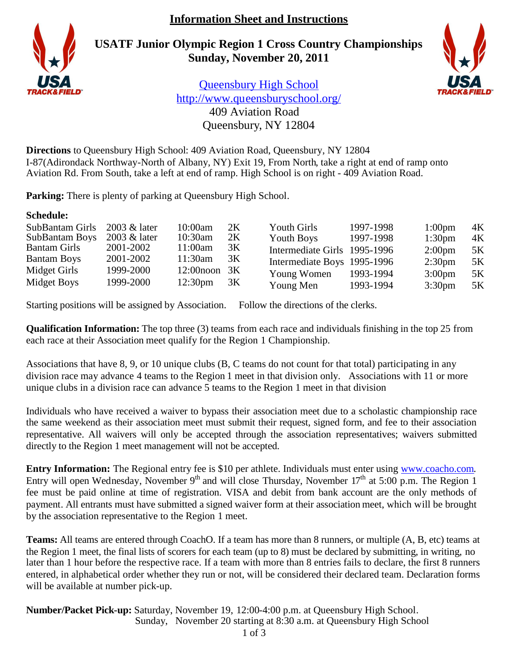# **Information Sheet and Instructions**

**USATF Junior Olympic Region 1 Cross Country Championships Sunday, November 20, 2011**



Queensbury High School http://www.queensburyschool.org/ 409 Aviation Road Queensbury, NY 12804

**Directions** to Queensbury High School: 409 Aviation Road, Queensbury, NY 12804 I-87(Adirondack Northway-North of Albany, NY) Exit 19, From North, take a right at end of ramp onto Aviation Rd. From South, take a left at end of ramp. High School is on right - 409 Aviation Road.

**Parking:** There is plenty of parking at Queensbury High School.

# **Schedule:**

| SubBantam Girls       | 2003 & later | 10:00am             | 2K | Youth Girls                  | 1997-1998 | 1:00 <sub>pm</sub> | 4K |
|-----------------------|--------------|---------------------|----|------------------------------|-----------|--------------------|----|
| <b>SubBantam Boys</b> | 2003 & later | $10:30$ am          | 2K | Youth Boys                   | 1997-1998 | 1:30 <sub>pm</sub> | 4K |
| <b>Bantam Girls</b>   | 2001-2002    | 11:00am             | 3K | Intermediate Girls 1995-1996 |           | 2:00 <sub>pm</sub> | 5K |
| <b>Bantam Boys</b>    | 2001-2002    | 11:30am             | 3K | Intermediate Boys 1995-1996  |           | 2:30 <sub>pm</sub> | 5K |
| Midget Girls          | 1999-2000    | $12:00$ noon $3K$   |    | Young Women                  | 1993-1994 | $3:00 \text{pm}$   | 5K |
| Midget Boys           | 1999-2000    | 12:30 <sub>pm</sub> | 3K | Young Men                    | 1993-1994 | 3:30 <sub>pm</sub> | 5K |

Starting positions will be assigned by Association. Follow the directions of the clerks.

**Qualification Information:** The top three (3) teams from each race and individuals finishing in the top 25 from each race at their Association meet qualify for the Region 1 Championship.

Associations that have 8, 9, or 10 unique clubs (B, C teams do not count for that total) participating in any division race may advance 4 teams to the Region 1 meet in that division only. Associations with 11 or more unique clubs in a division race can advance 5 teams to the Region 1 meet in that division

Individuals who have received a waiver to bypass their association meet due to a scholastic championship race the same weekend as their association meet must submit their request, signed form, and fee to their association representative. All waivers will only be accepted through the association representatives; waivers submitted directly to the Region 1 meet management will not be accepted.

**Entry Information:** The Regional entry fee is \$10 per athlete. Individuals must enter using www.coacho.com. Entry will open Wednesday, November 9<sup>th</sup> and will close Thursday, November  $17<sup>th</sup>$  at 5:00 p.m. The Region 1 fee must be paid online at time of registration. VISA and debit from bank account are the only methods of payment. All entrants must have submitted a signed waiver form at their association meet, which will be brought by the association representative to the Region 1 meet.

**Teams:** All teams are entered through CoachO. If a team has more than 8 runners, or multiple (A, B, etc) teams at the Region 1 meet, the final lists of scorers for each team (up to 8) must be declared by submitting, in writing, no later than 1 hour before the respective race. If a team with more than 8 entries fails to declare, the first 8 runners entered, in alphabetical order whether they run or not, will be considered their declared team. Declaration forms will be available at number pick-up.

**Number/Packet Pick-up:** Saturday, November 19, 12:00-4:00 p.m. at Queensbury High School. Sunday, November 20 starting at 8:30 a.m. at Queensbury High School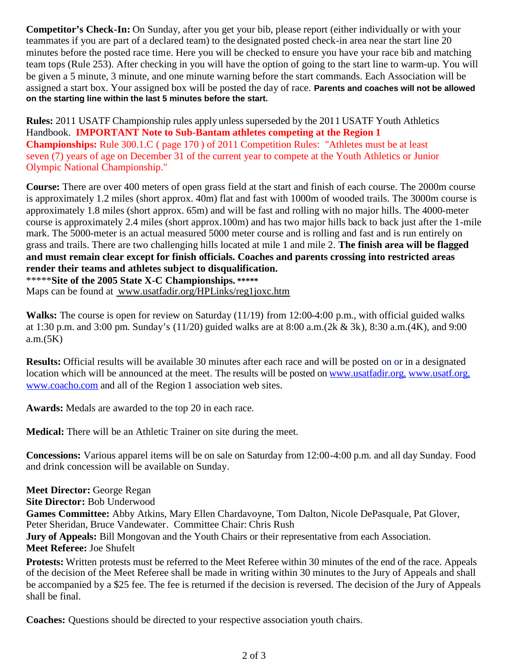**Competitor's Check-In:** On Sunday, after you get your bib, please report (either individually or with your teammates if you are part of a declared team) to the designated posted check-in area near the start line 20 minutes before the posted race time. Here you will be checked to ensure you have your race bib and matching team tops (Rule 253). After checking in you will have the option of going to the start line to warm-up. You will be given a 5 minute, 3 minute, and one minute warning before the start commands. Each Association will be assigned a start box. Your assigned box will be posted the day of race. **Parents and coaches will not be allowed on the starting line within the last 5 minutes before the start.**

**Rules:** 2011 USATF Championship rules apply unless superseded by the 2011 USATF Youth Athletics Handbook. **IMPORTANT Note to Sub-Bantam athletes competing at the Region 1 Championships:** Rule 300.1.C ( page 170 ) of 2011 Competition Rules: "Athletes must be at least seven (7) years of age on December 31 of the current year to compete at the Youth Athletics or Junior Olympic National Championship."

**Course:** There are over 400 meters of open grass field at the start and finish of each course. The 2000m course is approximately 1.2 miles (short approx. 40m) flat and fast with 1000m of wooded trails. The 3000m course is approximately 1.8 miles (short approx. 65m) and will be fast and rolling with no major hills. The 4000-meter course is approximately 2.4 miles (short approx.100m) and has two major hills back to back just after the 1-mile mark. The 5000-meter is an actual measured 5000 meter course and is rolling and fast and is run entirely on grass and trails. There are two challenging hills located at mile 1 and mile 2. **The finish area will be flagged and must remain clear except for finish officials. Coaches and parents crossing into restricted areas render their teams and athletes subject to disqualification.**

\*\*\*\*\***Site of the 2005 State X-C Championships. \*\*\*\*\*** Maps can be found at www.usatfadir.org/HPLinks/reg1joxc.htm

**Walks:** The course is open for review on Saturday (11/19) from 12:00-4:00 p.m., with official guided walks at 1:30 p.m. and 3:00 pm. Sunday's (11/20) guided walks are at 8:00 a.m.(2k & 3k), 8:30 a.m.(4K), and 9:00 a.m.(5K)

**Results:** Official results will be available 30 minutes after each race and will be posted on or in a designated location which will be announced at the meet. The results will be posted on www.usatfadir.org, www.usatf.org, www.coacho.com and all of the Region 1 association web sites.

**Awards:** Medals are awarded to the top 20 in each race.

**Medical:** There will be an Athletic Trainer on site during the meet.

**Concessions:** Various apparel items will be on sale on Saturday from 12:00-4:00 p.m. and all day Sunday. Food and drink concession will be available on Sunday.

**Meet Director:** George Regan

**Site Director:** Bob Underwood

**Games Committee:** Abby Atkins, Mary Ellen Chardavoyne, Tom Dalton, Nicole DePasquale, Pat Glover, Peter Sheridan, Bruce Vandewater. Committee Chair: Chris Rush

**Jury of Appeals:** Bill Mongovan and the Youth Chairs or their representative from each Association. **Meet Referee:** Joe Shufelt

**Protests:** Written protests must be referred to the Meet Referee within 30 minutes of the end of the race. Appeals of the decision of the Meet Referee shall be made in writing within 30 minutes to the Jury of Appeals and shall be accompanied by a \$25 fee. The fee is returned if the decision is reversed. The decision of the Jury of Appeals shall be final.

**Coaches:** Questions should be directed to your respective association youth chairs.